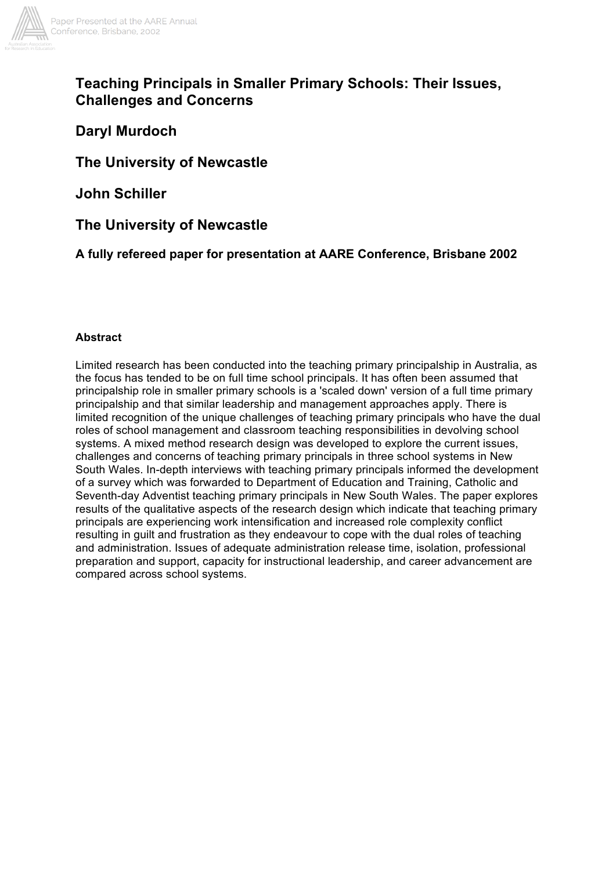

# **Teaching Principals in Smaller Primary Schools: Their Issues, Challenges and Concerns**

# **Daryl Murdoch**

# **The University of Newcastle**

**John Schiller**

**The University of Newcastle**

**A fully refereed paper for presentation at AARE Conference, Brisbane 2002**

## **Abstract**

Limited research has been conducted into the teaching primary principalship in Australia, as the focus has tended to be on full time school principals. It has often been assumed that principalship role in smaller primary schools is a 'scaled down' version of a full time primary principalship and that similar leadership and management approaches apply. There is limited recognition of the unique challenges of teaching primary principals who have the dual roles of school management and classroom teaching responsibilities in devolving school systems. A mixed method research design was developed to explore the current issues, challenges and concerns of teaching primary principals in three school systems in New South Wales. In-depth interviews with teaching primary principals informed the development of a survey which was forwarded to Department of Education and Training, Catholic and Seventh-day Adventist teaching primary principals in New South Wales. The paper explores results of the qualitative aspects of the research design which indicate that teaching primary principals are experiencing work intensification and increased role complexity conflict resulting in guilt and frustration as they endeavour to cope with the dual roles of teaching and administration. Issues of adequate administration release time, isolation, professional preparation and support, capacity for instructional leadership, and career advancement are compared across school systems.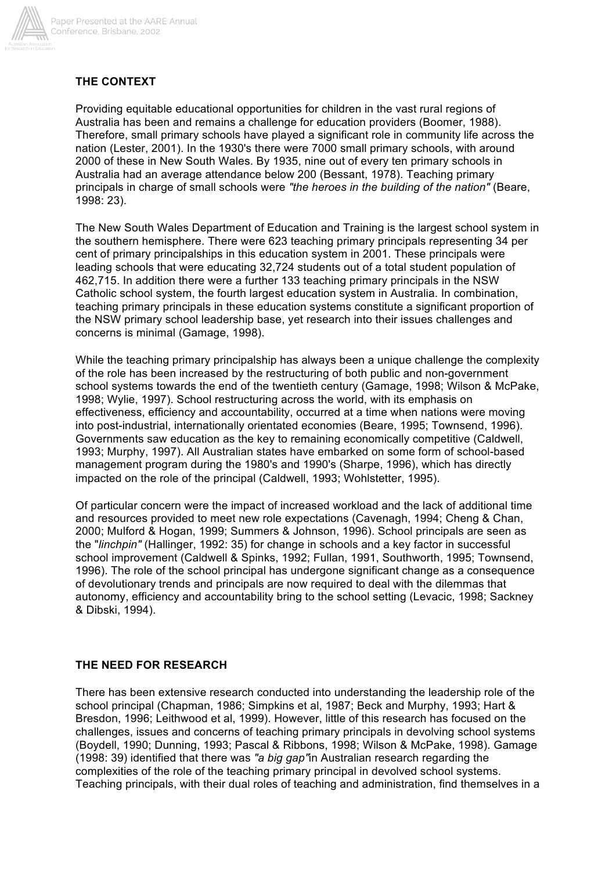

## **THE CONTEXT**

Providing equitable educational opportunities for children in the vast rural regions of Australia has been and remains a challenge for education providers (Boomer, 1988). Therefore, small primary schools have played a significant role in community life across the nation (Lester, 2001). In the 1930's there were 7000 small primary schools, with around 2000 of these in New South Wales. By 1935, nine out of every ten primary schools in Australia had an average attendance below 200 (Bessant, 1978). Teaching primary principals in charge of small schools were *"the heroes in the building of the nation"* (Beare, 1998: 23).

The New South Wales Department of Education and Training is the largest school system in the southern hemisphere. There were 623 teaching primary principals representing 34 per cent of primary principalships in this education system in 2001. These principals were leading schools that were educating 32,724 students out of a total student population of 462,715. In addition there were a further 133 teaching primary principals in the NSW Catholic school system, the fourth largest education system in Australia. In combination, teaching primary principals in these education systems constitute a significant proportion of the NSW primary school leadership base, yet research into their issues challenges and concerns is minimal (Gamage, 1998).

While the teaching primary principalship has always been a unique challenge the complexity of the role has been increased by the restructuring of both public and non-government school systems towards the end of the twentieth century (Gamage, 1998; Wilson & McPake, 1998; Wylie, 1997). School restructuring across the world, with its emphasis on effectiveness, efficiency and accountability, occurred at a time when nations were moving into post-industrial, internationally orientated economies (Beare, 1995; Townsend, 1996). Governments saw education as the key to remaining economically competitive (Caldwell, 1993; Murphy, 1997). All Australian states have embarked on some form of school-based management program during the 1980's and 1990's (Sharpe, 1996), which has directly impacted on the role of the principal (Caldwell, 1993; Wohlstetter, 1995).

Of particular concern were the impact of increased workload and the lack of additional time and resources provided to meet new role expectations (Cavenagh, 1994; Cheng & Chan, 2000; Mulford & Hogan, 1999; Summers & Johnson, 1996). School principals are seen as the "*linchpin"* (Hallinger, 1992: 35) for change in schools and a key factor in successful school improvement (Caldwell & Spinks, 1992; Fullan, 1991, Southworth, 1995; Townsend, 1996). The role of the school principal has undergone significant change as a consequence of devolutionary trends and principals are now required to deal with the dilemmas that autonomy, efficiency and accountability bring to the school setting (Levacic, 1998; Sackney & Dibski, 1994).

## **THE NEED FOR RESEARCH**

There has been extensive research conducted into understanding the leadership role of the school principal (Chapman, 1986; Simpkins et al, 1987; Beck and Murphy, 1993; Hart & Bresdon, 1996; Leithwood et al, 1999). However, little of this research has focused on the challenges, issues and concerns of teaching primary principals in devolving school systems (Boydell, 1990; Dunning, 1993; Pascal & Ribbons, 1998; Wilson & McPake, 1998). Gamage (1998: 39) identified that there was *"a big gap"*in Australian research regarding the complexities of the role of the teaching primary principal in devolved school systems. Teaching principals, with their dual roles of teaching and administration, find themselves in a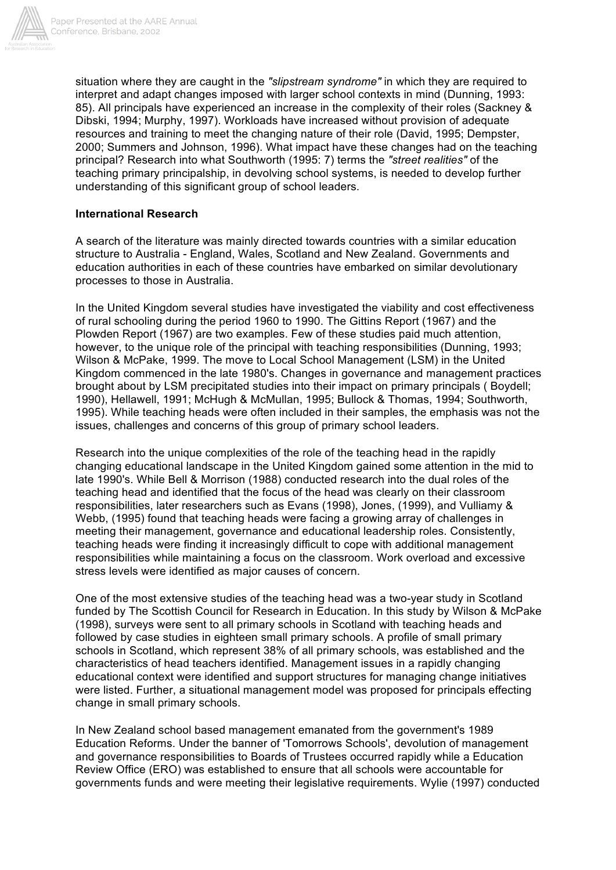

situation where they are caught in the *"slipstream syndrome"* in which they are required to interpret and adapt changes imposed with larger school contexts in mind (Dunning, 1993: 85). All principals have experienced an increase in the complexity of their roles (Sackney & Dibski, 1994; Murphy, 1997). Workloads have increased without provision of adequate resources and training to meet the changing nature of their role (David, 1995; Dempster, 2000; Summers and Johnson, 1996). What impact have these changes had on the teaching principal? Research into what Southworth (1995: 7) terms the *"street realities"* of the teaching primary principalship, in devolving school systems, is needed to develop further understanding of this significant group of school leaders.

#### **International Research**

A search of the literature was mainly directed towards countries with a similar education structure to Australia - England, Wales, Scotland and New Zealand. Governments and education authorities in each of these countries have embarked on similar devolutionary processes to those in Australia.

In the United Kingdom several studies have investigated the viability and cost effectiveness of rural schooling during the period 1960 to 1990. The Gittins Report (1967) and the Plowden Report (1967) are two examples. Few of these studies paid much attention, however, to the unique role of the principal with teaching responsibilities (Dunning, 1993; Wilson & McPake, 1999. The move to Local School Management (LSM) in the United Kingdom commenced in the late 1980's. Changes in governance and management practices brought about by LSM precipitated studies into their impact on primary principals ( Boydell; 1990), Hellawell, 1991; McHugh & McMullan, 1995; Bullock & Thomas, 1994; Southworth, 1995). While teaching heads were often included in their samples, the emphasis was not the issues, challenges and concerns of this group of primary school leaders.

Research into the unique complexities of the role of the teaching head in the rapidly changing educational landscape in the United Kingdom gained some attention in the mid to late 1990's. While Bell & Morrison (1988) conducted research into the dual roles of the teaching head and identified that the focus of the head was clearly on their classroom responsibilities, later researchers such as Evans (1998), Jones, (1999), and Vulliamy & Webb, (1995) found that teaching heads were facing a growing array of challenges in meeting their management, governance and educational leadership roles. Consistently, teaching heads were finding it increasingly difficult to cope with additional management responsibilities while maintaining a focus on the classroom. Work overload and excessive stress levels were identified as major causes of concern.

One of the most extensive studies of the teaching head was a two-year study in Scotland funded by The Scottish Council for Research in Education. In this study by Wilson & McPake (1998), surveys were sent to all primary schools in Scotland with teaching heads and followed by case studies in eighteen small primary schools. A profile of small primary schools in Scotland, which represent 38% of all primary schools, was established and the characteristics of head teachers identified. Management issues in a rapidly changing educational context were identified and support structures for managing change initiatives were listed. Further, a situational management model was proposed for principals effecting change in small primary schools.

In New Zealand school based management emanated from the government's 1989 Education Reforms. Under the banner of 'Tomorrows Schools', devolution of management and governance responsibilities to Boards of Trustees occurred rapidly while a Education Review Office (ERO) was established to ensure that all schools were accountable for governments funds and were meeting their legislative requirements. Wylie (1997) conducted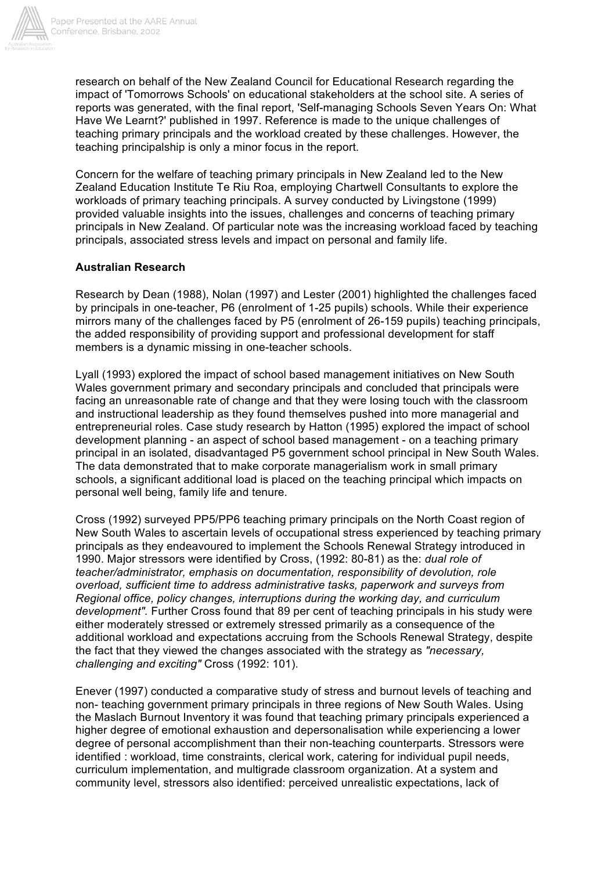

research on behalf of the New Zealand Council for Educational Research regarding the impact of 'Tomorrows Schools' on educational stakeholders at the school site. A series of reports was generated, with the final report, 'Self-managing Schools Seven Years On: What Have We Learnt?' published in 1997. Reference is made to the unique challenges of teaching primary principals and the workload created by these challenges. However, the teaching principalship is only a minor focus in the report.

Concern for the welfare of teaching primary principals in New Zealand led to the New Zealand Education Institute Te Riu Roa, employing Chartwell Consultants to explore the workloads of primary teaching principals. A survey conducted by Livingstone (1999) provided valuable insights into the issues, challenges and concerns of teaching primary principals in New Zealand. Of particular note was the increasing workload faced by teaching principals, associated stress levels and impact on personal and family life.

#### **Australian Research**

Research by Dean (1988), Nolan (1997) and Lester (2001) highlighted the challenges faced by principals in one-teacher, P6 (enrolment of 1-25 pupils) schools. While their experience mirrors many of the challenges faced by P5 (enrolment of 26-159 pupils) teaching principals, the added responsibility of providing support and professional development for staff members is a dynamic missing in one-teacher schools.

Lyall (1993) explored the impact of school based management initiatives on New South Wales government primary and secondary principals and concluded that principals were facing an unreasonable rate of change and that they were losing touch with the classroom and instructional leadership as they found themselves pushed into more managerial and entrepreneurial roles. Case study research by Hatton (1995) explored the impact of school development planning - an aspect of school based management - on a teaching primary principal in an isolated, disadvantaged P5 government school principal in New South Wales. The data demonstrated that to make corporate managerialism work in small primary schools, a significant additional load is placed on the teaching principal which impacts on personal well being, family life and tenure.

Cross (1992) surveyed PP5/PP6 teaching primary principals on the North Coast region of New South Wales to ascertain levels of occupational stress experienced by teaching primary principals as they endeavoured to implement the Schools Renewal Strategy introduced in 1990. Major stressors were identified by Cross, (1992: 80-81) as the: *dual role of teacher/administrator, emphasis on documentation, responsibility of devolution, role overload, sufficient time to address administrative tasks, paperwork and surveys from Regional office, policy changes, interruptions during the working day, and curriculum development".* Further Cross found that 89 per cent of teaching principals in his study were either moderately stressed or extremely stressed primarily as a consequence of the additional workload and expectations accruing from the Schools Renewal Strategy, despite the fact that they viewed the changes associated with the strategy as *"necessary, challenging and exciting"* Cross (1992: 101).

Enever (1997) conducted a comparative study of stress and burnout levels of teaching and non- teaching government primary principals in three regions of New South Wales. Using the Maslach Burnout Inventory it was found that teaching primary principals experienced a higher degree of emotional exhaustion and depersonalisation while experiencing a lower degree of personal accomplishment than their non-teaching counterparts. Stressors were identified : workload, time constraints, clerical work, catering for individual pupil needs, curriculum implementation, and multigrade classroom organization. At a system and community level, stressors also identified: perceived unrealistic expectations, lack of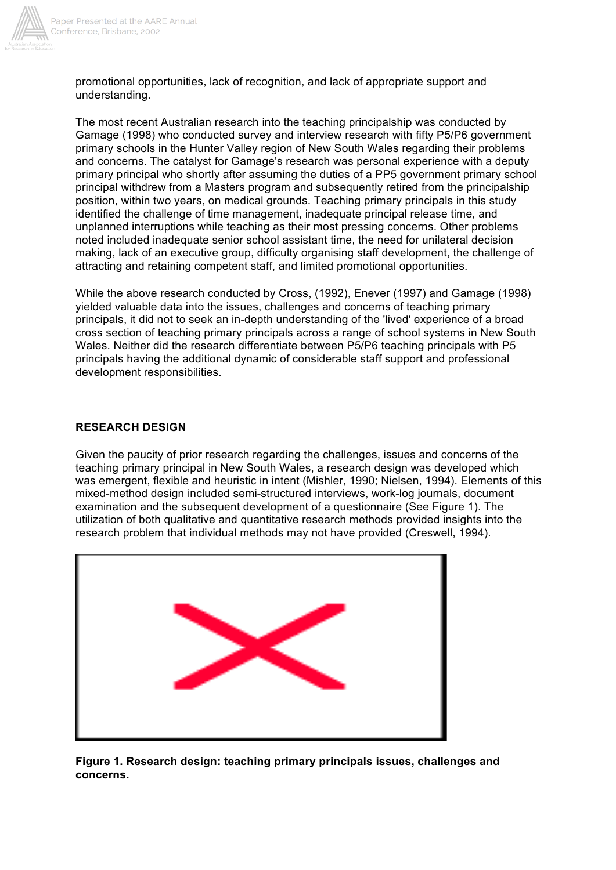

promotional opportunities, lack of recognition, and lack of appropriate support and understanding.

The most recent Australian research into the teaching principalship was conducted by Gamage (1998) who conducted survey and interview research with fifty P5/P6 government primary schools in the Hunter Valley region of New South Wales regarding their problems and concerns. The catalyst for Gamage's research was personal experience with a deputy primary principal who shortly after assuming the duties of a PP5 government primary school principal withdrew from a Masters program and subsequently retired from the principalship position, within two years, on medical grounds. Teaching primary principals in this study identified the challenge of time management, inadequate principal release time, and unplanned interruptions while teaching as their most pressing concerns. Other problems noted included inadequate senior school assistant time, the need for unilateral decision making, lack of an executive group, difficulty organising staff development, the challenge of attracting and retaining competent staff, and limited promotional opportunities.

While the above research conducted by Cross, (1992), Enever (1997) and Gamage (1998) yielded valuable data into the issues, challenges and concerns of teaching primary principals, it did not to seek an in-depth understanding of the 'lived' experience of a broad cross section of teaching primary principals across a range of school systems in New South Wales. Neither did the research differentiate between P5/P6 teaching principals with P5 principals having the additional dynamic of considerable staff support and professional development responsibilities.

### **RESEARCH DESIGN**

Given the paucity of prior research regarding the challenges, issues and concerns of the teaching primary principal in New South Wales, a research design was developed which was emergent, flexible and heuristic in intent (Mishler, 1990; Nielsen, 1994). Elements of this mixed-method design included semi-structured interviews, work-log journals, document examination and the subsequent development of a questionnaire (See Figure 1). The utilization of both qualitative and quantitative research methods provided insights into the research problem that individual methods may not have provided (Creswell, 1994).



**Figure 1. Research design: teaching primary principals issues, challenges and concerns.**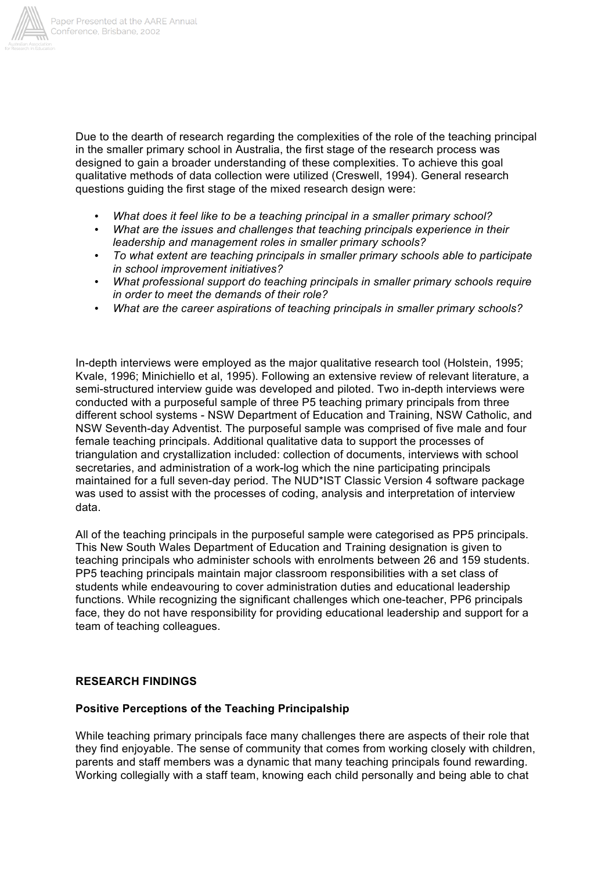

Due to the dearth of research regarding the complexities of the role of the teaching principal in the smaller primary school in Australia, the first stage of the research process was designed to gain a broader understanding of these complexities. To achieve this goal qualitative methods of data collection were utilized (Creswell, 1994). General research questions guiding the first stage of the mixed research design were:

- *What does it feel like to be a teaching principal in a smaller primary school?*
- *What are the issues and challenges that teaching principals experience in their leadership and management roles in smaller primary schools?*
- *To what extent are teaching principals in smaller primary schools able to participate in school improvement initiatives?*
- *What professional support do teaching principals in smaller primary schools require in order to meet the demands of their role?*
- *What are the career aspirations of teaching principals in smaller primary schools?*

In-depth interviews were employed as the major qualitative research tool (Holstein, 1995; Kvale, 1996; Minichiello et al, 1995). Following an extensive review of relevant literature, a semi-structured interview guide was developed and piloted. Two in-depth interviews were conducted with a purposeful sample of three P5 teaching primary principals from three different school systems - NSW Department of Education and Training, NSW Catholic, and NSW Seventh-day Adventist. The purposeful sample was comprised of five male and four female teaching principals. Additional qualitative data to support the processes of triangulation and crystallization included: collection of documents, interviews with school secretaries, and administration of a work-log which the nine participating principals maintained for a full seven-day period. The NUD\*IST Classic Version 4 software package was used to assist with the processes of coding, analysis and interpretation of interview data.

All of the teaching principals in the purposeful sample were categorised as PP5 principals. This New South Wales Department of Education and Training designation is given to teaching principals who administer schools with enrolments between 26 and 159 students. PP5 teaching principals maintain major classroom responsibilities with a set class of students while endeavouring to cover administration duties and educational leadership functions. While recognizing the significant challenges which one-teacher, PP6 principals face, they do not have responsibility for providing educational leadership and support for a team of teaching colleagues.

## **RESEARCH FINDINGS**

#### **Positive Perceptions of the Teaching Principalship**

While teaching primary principals face many challenges there are aspects of their role that they find enjoyable. The sense of community that comes from working closely with children, parents and staff members was a dynamic that many teaching principals found rewarding. Working collegially with a staff team, knowing each child personally and being able to chat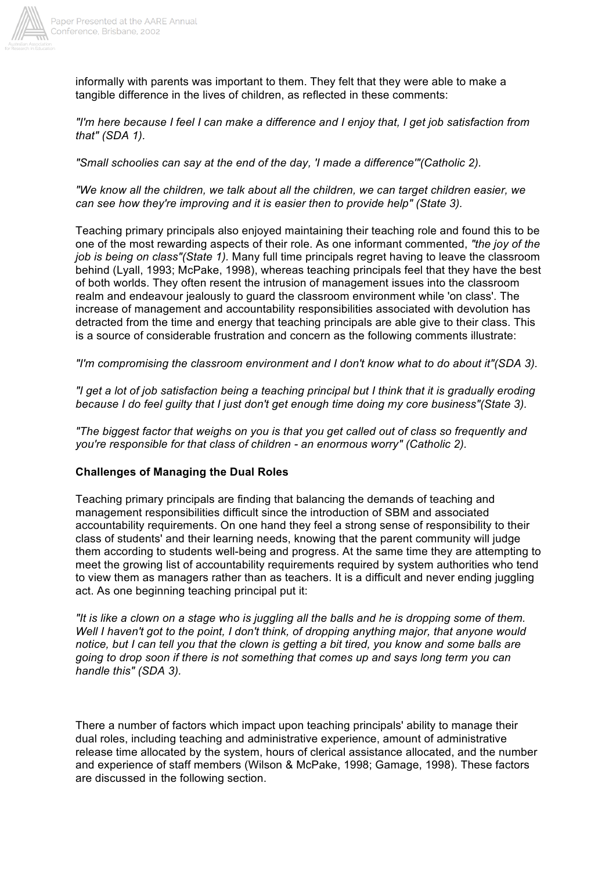

informally with parents was important to them. They felt that they were able to make a tangible difference in the lives of children, as reflected in these comments:

*"I'm here because I feel I can make a difference and I enjoy that, I get job satisfaction from that" (SDA 1).*

*"Small schoolies can say at the end of the day, 'I made a difference'"(Catholic 2).*

*"We know all the children, we talk about all the children, we can target children easier, we can see how they're improving and it is easier then to provide help" (State 3).*

Teaching primary principals also enjoyed maintaining their teaching role and found this to be one of the most rewarding aspects of their role. As one informant commented, *"the joy of the job is being on class"(State 1).* Many full time principals regret having to leave the classroom behind (Lyall, 1993; McPake, 1998), whereas teaching principals feel that they have the best of both worlds. They often resent the intrusion of management issues into the classroom realm and endeavour jealously to guard the classroom environment while 'on class'. The increase of management and accountability responsibilities associated with devolution has detracted from the time and energy that teaching principals are able give to their class. This is a source of considerable frustration and concern as the following comments illustrate:

*"I'm compromising the classroom environment and I don't know what to do about it"(SDA 3).*

*"I get a lot of job satisfaction being a teaching principal but I think that it is gradually eroding because I do feel guilty that I just don't get enough time doing my core business"(State 3).*

*"The biggest factor that weighs on you is that you get called out of class so frequently and you're responsible for that class of children - an enormous worry" (Catholic 2).*

#### **Challenges of Managing the Dual Roles**

Teaching primary principals are finding that balancing the demands of teaching and management responsibilities difficult since the introduction of SBM and associated accountability requirements. On one hand they feel a strong sense of responsibility to their class of students' and their learning needs, knowing that the parent community will judge them according to students well-being and progress. At the same time they are attempting to meet the growing list of accountability requirements required by system authorities who tend to view them as managers rather than as teachers. It is a difficult and never ending juggling act. As one beginning teaching principal put it:

*"It is like a clown on a stage who is juggling all the balls and he is dropping some of them. Well I haven't got to the point, I don't think, of dropping anything major, that anyone would notice, but I can tell you that the clown is getting a bit tired, you know and some balls are going to drop soon if there is not something that comes up and says long term you can handle this" (SDA 3).*

There a number of factors which impact upon teaching principals' ability to manage their dual roles, including teaching and administrative experience, amount of administrative release time allocated by the system, hours of clerical assistance allocated, and the number and experience of staff members (Wilson & McPake, 1998; Gamage, 1998). These factors are discussed in the following section.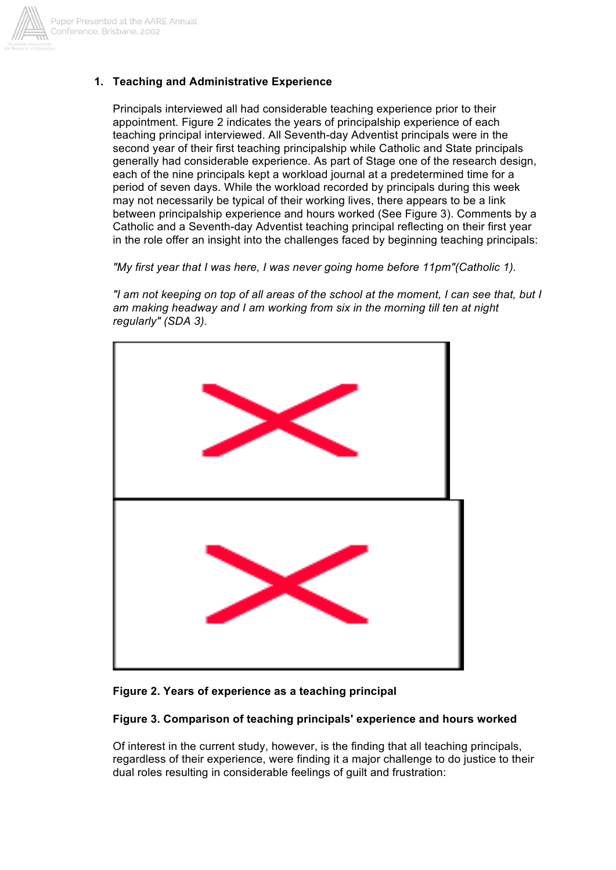

## **1. Teaching and Administrative Experience**

Principals interviewed all had considerable teaching experience prior to their appointment. Figure 2 indicates the years of principalship experience of each teaching principal interviewed. All Seventh-day Adventist principals were in the second year of their first teaching principalship while Catholic and State principals generally had considerable experience. As part of Stage one of the research design, each of the nine principals kept a workload journal at a predetermined time for a period of seven days. While the workload recorded by principals during this week may not necessarily be typical of their working lives, there appears to be a link between principalship experience and hours worked (See Figure 3). Comments by a Catholic and a Seventh-day Adventist teaching principal reflecting on their first year in the role offer an insight into the challenges faced by beginning teaching principals:

*"My first year that I was here, I was never going home before 11pm"(Catholic 1).*

*"I am not keeping on top of all areas of the school at the moment, I can see that, but I am making headway and I am working from six in the morning till ten at night regularly" (SDA 3).*



#### **Figure 2. Years of experience as a teaching principal**

#### **Figure 3. Comparison of teaching principals' experience and hours worked**

Of interest in the current study, however, is the finding that all teaching principals, regardless of their experience, were finding it a major challenge to do justice to their dual roles resulting in considerable feelings of guilt and frustration: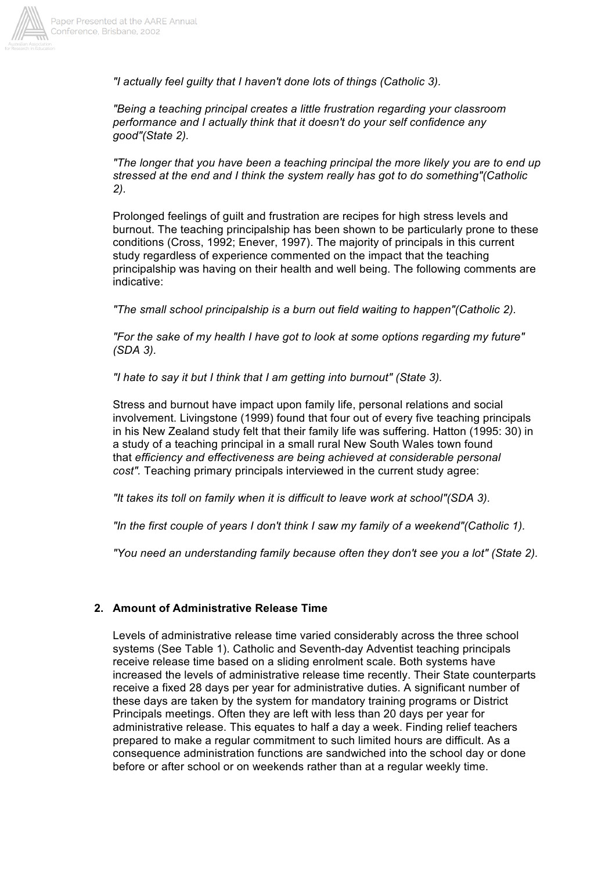

*"I actually feel guilty that I haven't done lots of things (Catholic 3).*

*"Being a teaching principal creates a little frustration regarding your classroom performance and I actually think that it doesn't do your self confidence any good"(State 2).*

*"The longer that you have been a teaching principal the more likely you are to end up stressed at the end and I think the system really has got to do something"(Catholic 2).*

Prolonged feelings of guilt and frustration are recipes for high stress levels and burnout. The teaching principalship has been shown to be particularly prone to these conditions (Cross, 1992; Enever, 1997). The majority of principals in this current study regardless of experience commented on the impact that the teaching principalship was having on their health and well being. The following comments are indicative:

*"The small school principalship is a burn out field waiting to happen"(Catholic 2).*

*"For the sake of my health I have got to look at some options regarding my future" (SDA 3).*

*"I hate to say it but I think that I am getting into burnout" (State 3).*

Stress and burnout have impact upon family life, personal relations and social involvement. Livingstone (1999) found that four out of every five teaching principals in his New Zealand study felt that their family life was suffering. Hatton (1995: 30) in a study of a teaching principal in a small rural New South Wales town found that *efficiency and effectiveness are being achieved at considerable personal cost".* Teaching primary principals interviewed in the current study agree:

*"It takes its toll on family when it is difficult to leave work at school"(SDA 3).*

*"In the first couple of years I don't think I saw my family of a weekend"(Catholic 1).*

*"You need an understanding family because often they don't see you a lot" (State 2).*

#### **2. Amount of Administrative Release Time**

Levels of administrative release time varied considerably across the three school systems (See Table 1). Catholic and Seventh-day Adventist teaching principals receive release time based on a sliding enrolment scale. Both systems have increased the levels of administrative release time recently. Their State counterparts receive a fixed 28 days per year for administrative duties. A significant number of these days are taken by the system for mandatory training programs or District Principals meetings. Often they are left with less than 20 days per year for administrative release. This equates to half a day a week. Finding relief teachers prepared to make a regular commitment to such limited hours are difficult. As a consequence administration functions are sandwiched into the school day or done before or after school or on weekends rather than at a regular weekly time.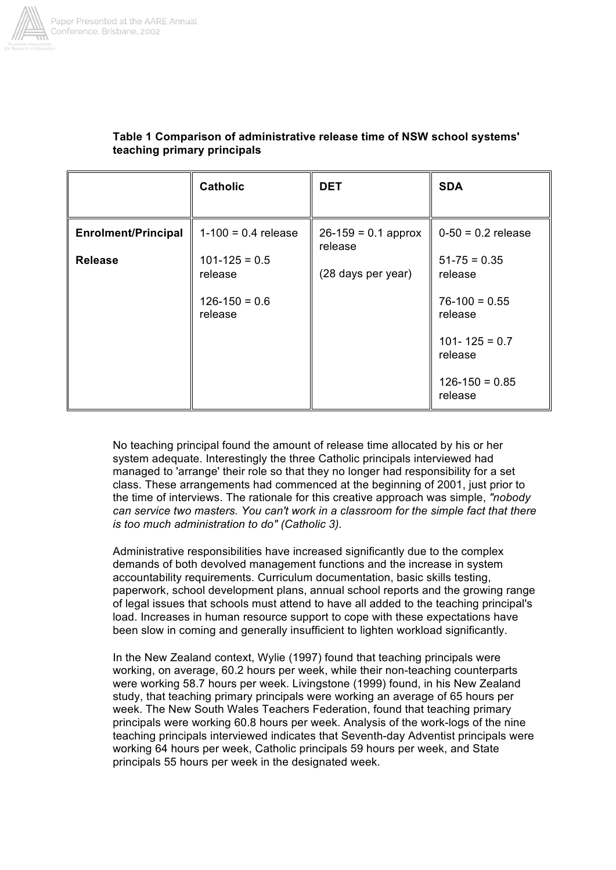

|                            | <b>Catholic</b>              | <b>DET</b>                       | <b>SDA</b>                   |
|----------------------------|------------------------------|----------------------------------|------------------------------|
| <b>Enrolment/Principal</b> | $1-100 = 0.4$ release        | $26-159 = 0.1$ approx<br>release | $0-50 = 0.2$ release         |
| <b>Release</b>             | $101 - 125 = 0.5$<br>release | (28 days per year)               | $51-75 = 0.35$<br>release    |
|                            | $126-150 = 0.6$<br>release   |                                  | $76-100 = 0.55$<br>release   |
|                            |                              |                                  | $101 - 125 = 0.7$<br>release |
|                            |                              |                                  | $126-150 = 0.85$<br>release  |

### **Table 1 Comparison of administrative release time of NSW school systems' teaching primary principals**

No teaching principal found the amount of release time allocated by his or her system adequate. Interestingly the three Catholic principals interviewed had managed to 'arrange' their role so that they no longer had responsibility for a set class. These arrangements had commenced at the beginning of 2001, just prior to the time of interviews. The rationale for this creative approach was simple, *"nobody can service two masters. You can't work in a classroom for the simple fact that there is too much administration to do" (Catholic 3).*

Administrative responsibilities have increased significantly due to the complex demands of both devolved management functions and the increase in system accountability requirements. Curriculum documentation, basic skills testing, paperwork, school development plans, annual school reports and the growing range of legal issues that schools must attend to have all added to the teaching principal's load. Increases in human resource support to cope with these expectations have been slow in coming and generally insufficient to lighten workload significantly.

In the New Zealand context, Wylie (1997) found that teaching principals were working, on average, 60.2 hours per week, while their non-teaching counterparts were working 58.7 hours per week. Livingstone (1999) found, in his New Zealand study, that teaching primary principals were working an average of 65 hours per week. The New South Wales Teachers Federation, found that teaching primary principals were working 60.8 hours per week. Analysis of the work-logs of the nine teaching principals interviewed indicates that Seventh-day Adventist principals were working 64 hours per week, Catholic principals 59 hours per week, and State principals 55 hours per week in the designated week.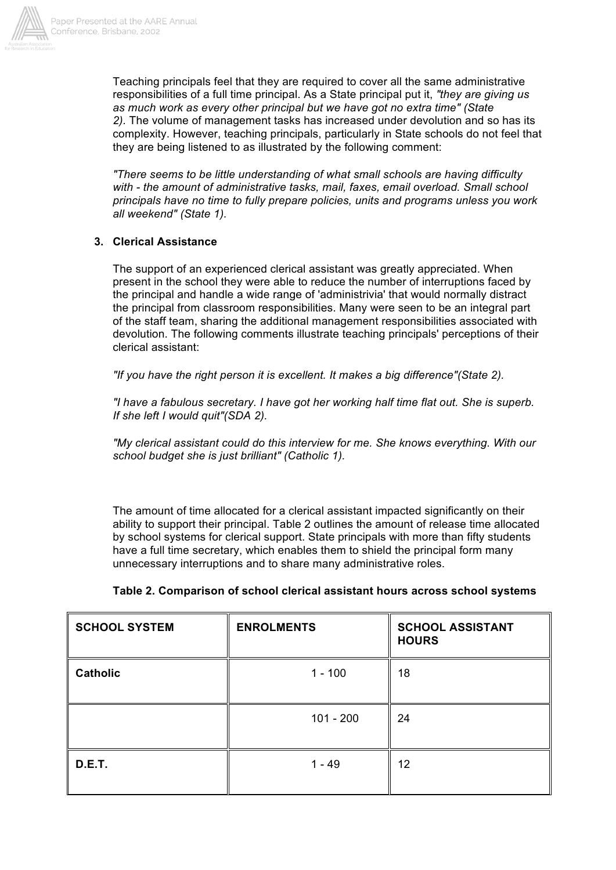

Teaching principals feel that they are required to cover all the same administrative responsibilities of a full time principal. As a State principal put it, *"they are giving us as much work as every other principal but we have got no extra time" (State 2).* The volume of management tasks has increased under devolution and so has its complexity. However, teaching principals, particularly in State schools do not feel that they are being listened to as illustrated by the following comment:

*"There seems to be little understanding of what small schools are having difficulty with - the amount of administrative tasks, mail, faxes, email overload. Small school principals have no time to fully prepare policies, units and programs unless you work all weekend" (State 1).*

## **3. Clerical Assistance**

The support of an experienced clerical assistant was greatly appreciated. When present in the school they were able to reduce the number of interruptions faced by the principal and handle a wide range of 'administrivia' that would normally distract the principal from classroom responsibilities. Many were seen to be an integral part of the staff team, sharing the additional management responsibilities associated with devolution. The following comments illustrate teaching principals' perceptions of their clerical assistant:

*"If you have the right person it is excellent. It makes a big difference"(State 2).*

*"I have a fabulous secretary. I have got her working half time flat out. She is superb. If she left I would quit"(SDA 2).*

*"My clerical assistant could do this interview for me. She knows everything. With our school budget she is just brilliant" (Catholic 1).*

The amount of time allocated for a clerical assistant impacted significantly on their ability to support their principal. Table 2 outlines the amount of release time allocated by school systems for clerical support. State principals with more than fifty students have a full time secretary, which enables them to shield the principal form many unnecessary interruptions and to share many administrative roles.

| <b>SCHOOL SYSTEM</b> | <b>ENROLMENTS</b> | <b>SCHOOL ASSISTANT</b><br><b>HOURS</b> |  |
|----------------------|-------------------|-----------------------------------------|--|
| <b>Catholic</b>      | $1 - 100$         | 18                                      |  |
|                      | $101 - 200$       | 24                                      |  |
| <b>D.E.T.</b>        | $1 - 49$          | 12                                      |  |

| Table 2. Comparison of school clerical assistant hours across school systems |  |  |  |  |
|------------------------------------------------------------------------------|--|--|--|--|
|                                                                              |  |  |  |  |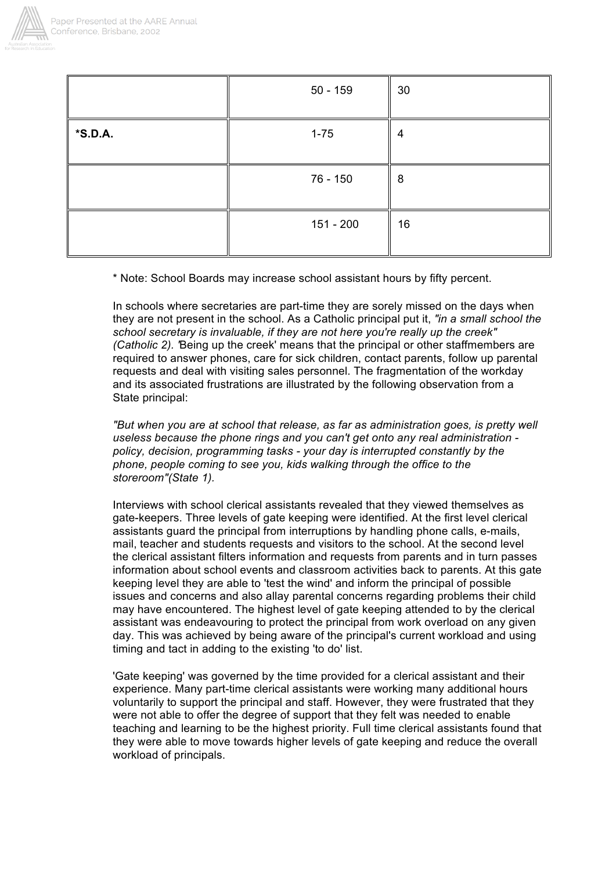

|         | $50 - 159$ | 30 |
|---------|------------|----|
| *S.D.A. | $1 - 75$   | 4  |
|         | 76 - 150   | 8  |
|         | 151 - 200  | 16 |

\* Note: School Boards may increase school assistant hours by fifty percent.

In schools where secretaries are part-time they are sorely missed on the days when they are not present in the school. As a Catholic principal put it, *"in a small school the school secretary is invaluable, if they are not here you're really up the creek" (Catholic 2). '*Being up the creek' means that the principal or other staffmembers are required to answer phones, care for sick children, contact parents, follow up parental requests and deal with visiting sales personnel. The fragmentation of the workday and its associated frustrations are illustrated by the following observation from a State principal:

*"But when you are at school that release, as far as administration goes, is pretty well useless because the phone rings and you can't get onto any real administration policy, decision, programming tasks - your day is interrupted constantly by the phone, people coming to see you, kids walking through the office to the storeroom"(State 1).*

Interviews with school clerical assistants revealed that they viewed themselves as gate-keepers. Three levels of gate keeping were identified. At the first level clerical assistants guard the principal from interruptions by handling phone calls, e-mails, mail, teacher and students requests and visitors to the school. At the second level the clerical assistant filters information and requests from parents and in turn passes information about school events and classroom activities back to parents. At this gate keeping level they are able to 'test the wind' and inform the principal of possible issues and concerns and also allay parental concerns regarding problems their child may have encountered. The highest level of gate keeping attended to by the clerical assistant was endeavouring to protect the principal from work overload on any given day. This was achieved by being aware of the principal's current workload and using timing and tact in adding to the existing 'to do' list.

'Gate keeping' was governed by the time provided for a clerical assistant and their experience. Many part-time clerical assistants were working many additional hours voluntarily to support the principal and staff. However, they were frustrated that they were not able to offer the degree of support that they felt was needed to enable teaching and learning to be the highest priority. Full time clerical assistants found that they were able to move towards higher levels of gate keeping and reduce the overall workload of principals.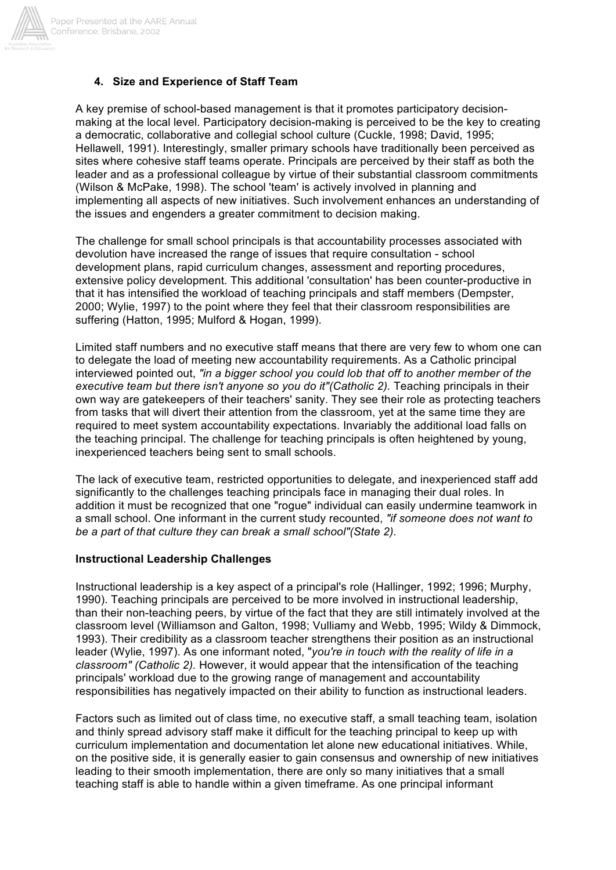

## **4. Size and Experience of Staff Team**

A key premise of school-based management is that it promotes participatory decisionmaking at the local level. Participatory decision-making is perceived to be the key to creating a democratic, collaborative and collegial school culture (Cuckle, 1998; David, 1995; Hellawell, 1991). Interestingly, smaller primary schools have traditionally been perceived as sites where cohesive staff teams operate. Principals are perceived by their staff as both the leader and as a professional colleague by virtue of their substantial classroom commitments (Wilson & McPake, 1998). The school 'team' is actively involved in planning and implementing all aspects of new initiatives. Such involvement enhances an understanding of the issues and engenders a greater commitment to decision making.

The challenge for small school principals is that accountability processes associated with devolution have increased the range of issues that require consultation - school development plans, rapid curriculum changes, assessment and reporting procedures, extensive policy development. This additional 'consultation' has been counter-productive in that it has intensified the workload of teaching principals and staff members (Dempster, 2000; Wylie, 1997) to the point where they feel that their classroom responsibilities are suffering (Hatton, 1995; Mulford & Hogan, 1999).

Limited staff numbers and no executive staff means that there are very few to whom one can to delegate the load of meeting new accountability requirements. As a Catholic principal interviewed pointed out, *"in a bigger school you could lob that off to another member of the executive team but there isn't anyone so you do it"(Catholic 2).* Teaching principals in their own way are gatekeepers of their teachers' sanity. They see their role as protecting teachers from tasks that will divert their attention from the classroom, yet at the same time they are required to meet system accountability expectations. Invariably the additional load falls on the teaching principal. The challenge for teaching principals is often heightened by young, inexperienced teachers being sent to small schools.

The lack of executive team, restricted opportunities to delegate, and inexperienced staff add significantly to the challenges teaching principals face in managing their dual roles. In addition it must be recognized that one "rogue" individual can easily undermine teamwork in a small school. One informant in the current study recounted, *"if someone does not want to be a part of that culture they can break a small school"(State 2).*

#### **Instructional Leadership Challenges**

Instructional leadership is a key aspect of a principal's role (Hallinger, 1992; 1996; Murphy, 1990). Teaching principals are perceived to be more involved in instructional leadership, than their non-teaching peers, by virtue of the fact that they are still intimately involved at the classroom level (Williamson and Galton, 1998; Vulliamy and Webb, 1995; Wildy & Dimmock, 1993). Their credibility as a classroom teacher strengthens their position as an instructional leader (Wylie, 1997). As one informant noted, "*you're in touch with the reality of life in a classroom" (Catholic 2).* However, it would appear that the intensification of the teaching principals' workload due to the growing range of management and accountability responsibilities has negatively impacted on their ability to function as instructional leaders.

Factors such as limited out of class time, no executive staff, a small teaching team, isolation and thinly spread advisory staff make it difficult for the teaching principal to keep up with curriculum implementation and documentation let alone new educational initiatives. While, on the positive side, it is generally easier to gain consensus and ownership of new initiatives leading to their smooth implementation, there are only so many initiatives that a small teaching staff is able to handle within a given timeframe. As one principal informant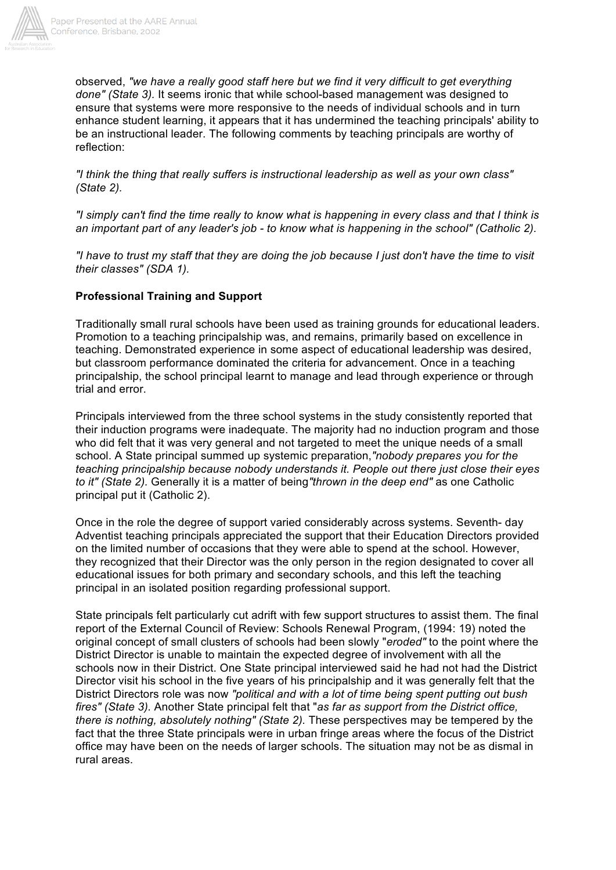

observed, *"we have a really good staff here but we find it very difficult to get everything done" (State 3).* It seems ironic that while school-based management was designed to ensure that systems were more responsive to the needs of individual schools and in turn enhance student learning, it appears that it has undermined the teaching principals' ability to be an instructional leader. The following comments by teaching principals are worthy of reflection:

*"I think the thing that really suffers is instructional leadership as well as your own class" (State 2).*

*"I simply can't find the time really to know what is happening in every class and that I think is an important part of any leader's job - to know what is happening in the school" (Catholic 2).*

*"I have to trust my staff that they are doing the job because I just don't have the time to visit their classes" (SDA 1).*

### **Professional Training and Support**

Traditionally small rural schools have been used as training grounds for educational leaders. Promotion to a teaching principalship was, and remains, primarily based on excellence in teaching. Demonstrated experience in some aspect of educational leadership was desired, but classroom performance dominated the criteria for advancement. Once in a teaching principalship, the school principal learnt to manage and lead through experience or through trial and error.

Principals interviewed from the three school systems in the study consistently reported that their induction programs were inadequate. The majority had no induction program and those who did felt that it was very general and not targeted to meet the unique needs of a small school. A State principal summed up systemic preparation,*"nobody prepares you for the teaching principalship because nobody understands it. People out there just close their eyes to it" (State 2).* Generally it is a matter of being*"thrown in the deep end"* as one Catholic principal put it (Catholic 2).

Once in the role the degree of support varied considerably across systems. Seventh- day Adventist teaching principals appreciated the support that their Education Directors provided on the limited number of occasions that they were able to spend at the school. However, they recognized that their Director was the only person in the region designated to cover all educational issues for both primary and secondary schools, and this left the teaching principal in an isolated position regarding professional support.

State principals felt particularly cut adrift with few support structures to assist them. The final report of the External Council of Review: Schools Renewal Program, (1994: 19) noted the original concept of small clusters of schools had been slowly "*eroded"* to the point where the District Director is unable to maintain the expected degree of involvement with all the schools now in their District. One State principal interviewed said he had not had the District Director visit his school in the five years of his principalship and it was generally felt that the District Directors role was now *"political and with a lot of time being spent putting out bush fires" (State 3).* Another State principal felt that "*as far as support from the District office, there is nothing, absolutely nothing" (State 2).* These perspectives may be tempered by the fact that the three State principals were in urban fringe areas where the focus of the District office may have been on the needs of larger schools. The situation may not be as dismal in rural areas.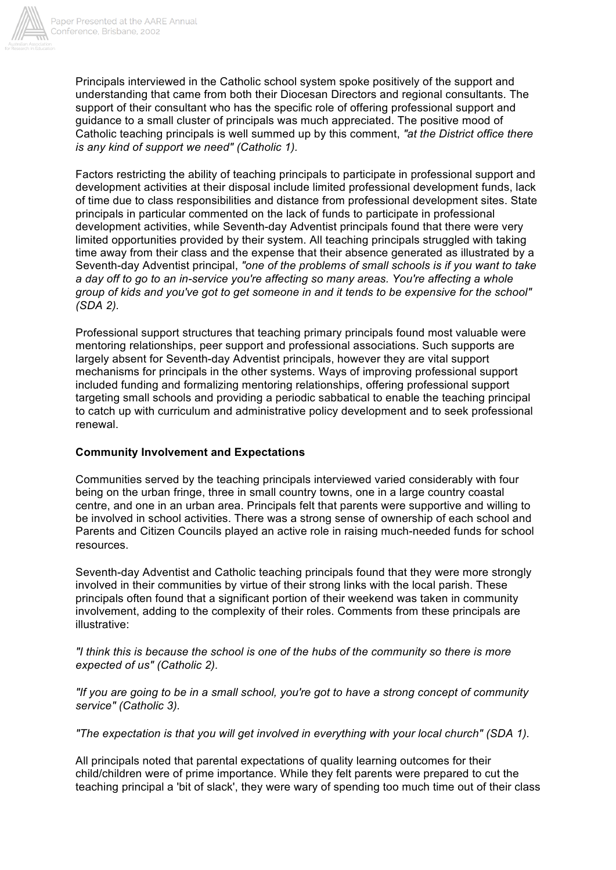

Principals interviewed in the Catholic school system spoke positively of the support and understanding that came from both their Diocesan Directors and regional consultants. The support of their consultant who has the specific role of offering professional support and guidance to a small cluster of principals was much appreciated. The positive mood of Catholic teaching principals is well summed up by this comment, *"at the District office there is any kind of support we need" (Catholic 1).*

Factors restricting the ability of teaching principals to participate in professional support and development activities at their disposal include limited professional development funds, lack of time due to class responsibilities and distance from professional development sites. State principals in particular commented on the lack of funds to participate in professional development activities, while Seventh-day Adventist principals found that there were very limited opportunities provided by their system. All teaching principals struggled with taking time away from their class and the expense that their absence generated as illustrated by a Seventh-day Adventist principal, *"one of the problems of small schools is if you want to take a day off to go to an in-service you're affecting so many areas. You're affecting a whole group of kids and you've got to get someone in and it tends to be expensive for the school" (SDA 2).*

Professional support structures that teaching primary principals found most valuable were mentoring relationships, peer support and professional associations. Such supports are largely absent for Seventh-day Adventist principals, however they are vital support mechanisms for principals in the other systems. Ways of improving professional support included funding and formalizing mentoring relationships, offering professional support targeting small schools and providing a periodic sabbatical to enable the teaching principal to catch up with curriculum and administrative policy development and to seek professional renewal.

#### **Community Involvement and Expectations**

Communities served by the teaching principals interviewed varied considerably with four being on the urban fringe, three in small country towns, one in a large country coastal centre, and one in an urban area. Principals felt that parents were supportive and willing to be involved in school activities. There was a strong sense of ownership of each school and Parents and Citizen Councils played an active role in raising much-needed funds for school resources.

Seventh-day Adventist and Catholic teaching principals found that they were more strongly involved in their communities by virtue of their strong links with the local parish. These principals often found that a significant portion of their weekend was taken in community involvement, adding to the complexity of their roles. Comments from these principals are illustrative:

*"I think this is because the school is one of the hubs of the community so there is more expected of us" (Catholic 2).*

*"If you are going to be in a small school, you're got to have a strong concept of community service" (Catholic 3).*

*"The expectation is that you will get involved in everything with your local church" (SDA 1).*

All principals noted that parental expectations of quality learning outcomes for their child/children were of prime importance. While they felt parents were prepared to cut the teaching principal a 'bit of slack', they were wary of spending too much time out of their class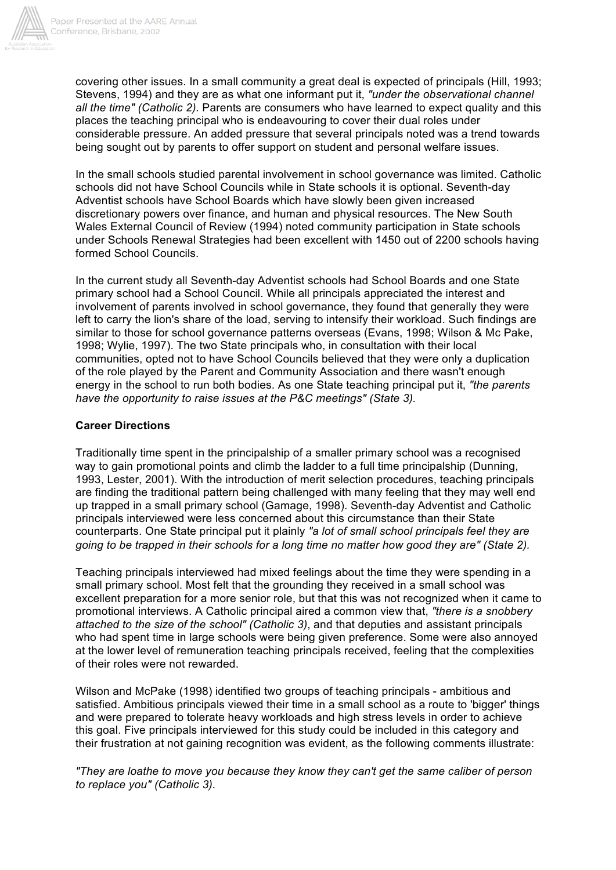

covering other issues. In a small community a great deal is expected of principals (Hill, 1993; Stevens, 1994) and they are as what one informant put it, *"under the observational channel all the time" (Catholic 2).* Parents are consumers who have learned to expect quality and this places the teaching principal who is endeavouring to cover their dual roles under considerable pressure. An added pressure that several principals noted was a trend towards being sought out by parents to offer support on student and personal welfare issues.

In the small schools studied parental involvement in school governance was limited. Catholic schools did not have School Councils while in State schools it is optional. Seventh-day Adventist schools have School Boards which have slowly been given increased discretionary powers over finance, and human and physical resources. The New South Wales External Council of Review (1994) noted community participation in State schools under Schools Renewal Strategies had been excellent with 1450 out of 2200 schools having formed School Councils.

In the current study all Seventh-day Adventist schools had School Boards and one State primary school had a School Council. While all principals appreciated the interest and involvement of parents involved in school governance, they found that generally they were left to carry the lion's share of the load, serving to intensify their workload. Such findings are similar to those for school governance patterns overseas (Evans, 1998; Wilson & Mc Pake, 1998; Wylie, 1997). The two State principals who, in consultation with their local communities, opted not to have School Councils believed that they were only a duplication of the role played by the Parent and Community Association and there wasn't enough energy in the school to run both bodies. As one State teaching principal put it, *"the parents have the opportunity to raise issues at the P&C meetings" (State 3).*

### **Career Directions**

Traditionally time spent in the principalship of a smaller primary school was a recognised way to gain promotional points and climb the ladder to a full time principalship (Dunning, 1993, Lester, 2001). With the introduction of merit selection procedures, teaching principals are finding the traditional pattern being challenged with many feeling that they may well end up trapped in a small primary school (Gamage, 1998). Seventh-day Adventist and Catholic principals interviewed were less concerned about this circumstance than their State counterparts. One State principal put it plainly *"a lot of small school principals feel they are going to be trapped in their schools for a long time no matter how good they are" (State 2).*

Teaching principals interviewed had mixed feelings about the time they were spending in a small primary school. Most felt that the grounding they received in a small school was excellent preparation for a more senior role, but that this was not recognized when it came to promotional interviews. A Catholic principal aired a common view that, *"there is a snobbery attached to the size of the school" (Catholic 3)*, and that deputies and assistant principals who had spent time in large schools were being given preference. Some were also annoyed at the lower level of remuneration teaching principals received, feeling that the complexities of their roles were not rewarded.

Wilson and McPake (1998) identified two groups of teaching principals - ambitious and satisfied. Ambitious principals viewed their time in a small school as a route to 'bigger' things and were prepared to tolerate heavy workloads and high stress levels in order to achieve this goal. Five principals interviewed for this study could be included in this category and their frustration at not gaining recognition was evident, as the following comments illustrate:

*"They are loathe to move you because they know they can't get the same caliber of person to replace you" (Catholic 3).*